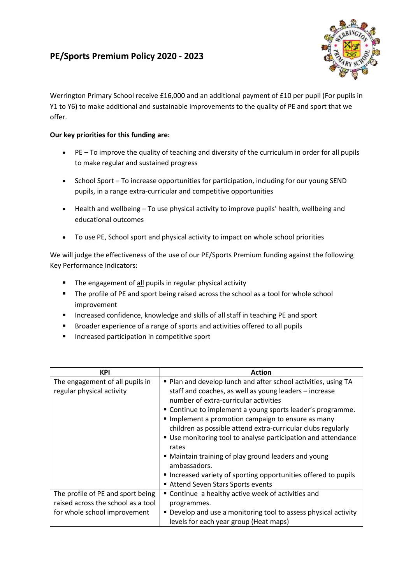## **PE/Sports Premium Policy 2020 - 2023**



Werrington Primary School receive £16,000 and an additional payment of £10 per pupil (For pupils in Y1 to Y6) to make additional and sustainable improvements to the quality of PE and sport that we offer.

## **Our key priorities for this funding are:**

- PE To improve the quality of teaching and diversity of the curriculum in order for all pupils to make regular and sustained progress
- School Sport To increase opportunities for participation, including for our young SEND pupils, in a range extra-curricular and competitive opportunities
- Health and wellbeing To use physical activity to improve pupils' health, wellbeing and educational outcomes
- To use PE, School sport and physical activity to impact on whole school priorities

We will judge the effectiveness of the use of our PE/Sports Premium funding against the following Key Performance Indicators:

- **The engagement of all pupils in regular physical activity**
- **The profile of PE and sport being raised across the school as a tool for whole school** improvement
- **Increased confidence, knowledge and skills of all staff in teaching PE and sport**
- **Broader experience of a range of sports and activities offered to all pupils**
- **Increased participation in competitive sport**

| <b>KPI</b>                         | Action                                                          |
|------------------------------------|-----------------------------------------------------------------|
| The engagement of all pupils in    | Plan and develop lunch and after school activities, using TA    |
| regular physical activity          | staff and coaches, as well as young leaders - increase          |
|                                    | number of extra-curricular activities                           |
|                                    | " Continue to implement a young sports leader's programme.      |
|                                    | Implement a promotion campaign to ensure as many                |
|                                    | children as possible attend extra-curricular clubs regularly    |
|                                    | ■ Use monitoring tool to analyse participation and attendance   |
|                                    | rates                                                           |
|                                    | • Maintain training of play ground leaders and young            |
|                                    | ambassadors.                                                    |
|                                    | Increased variety of sporting opportunities offered to pupils   |
|                                    | Attend Seven Stars Sports events                                |
| The profile of PE and sport being  | ■ Continue a healthy active week of activities and              |
| raised across the school as a tool | programmes.                                                     |
| for whole school improvement       | • Develop and use a monitoring tool to assess physical activity |
|                                    | levels for each year group (Heat maps)                          |